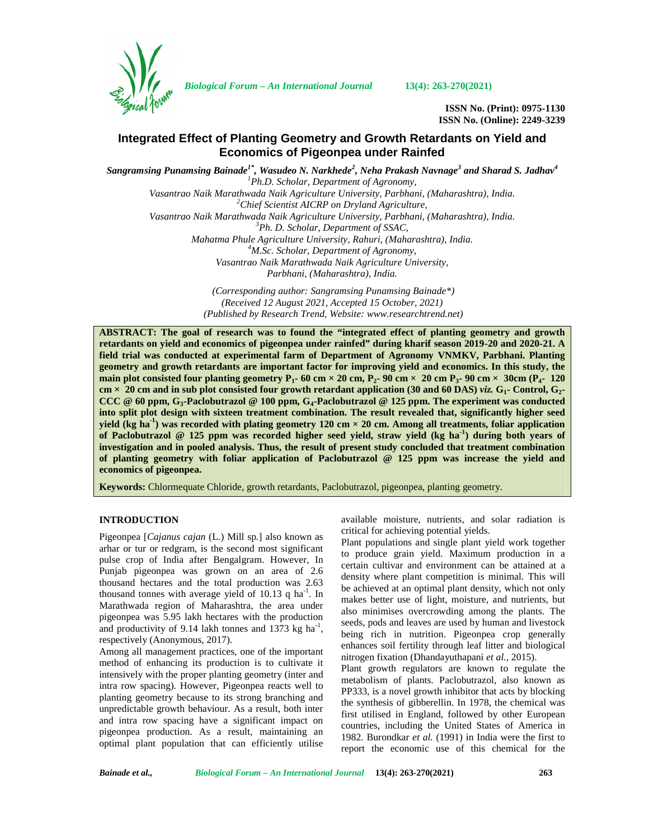

*Biological Forum – An International Journal* **13(4): 263-270(2021)**

**ISSN No. (Print): 0975-1130 ISSN No. (Online): 2249-3239**

# **Integrated Effect of Planting Geometry and Growth Retardants on Yield and Economics of Pigeonpea under Rainfed**

*Sangramsing Punamsing Bainade1\* , Wasudeo N. Narkhede<sup>2</sup> , Neha Prakash Navnage<sup>3</sup> and Sharad S. Jadhav<sup>4</sup> <sup>1</sup>Ph.D. Scholar, Department of Agronomy, Vasantrao Naik Marathwada Naik Agriculture University, Parbhani, (Maharashtra), India. <sup>2</sup>Chief Scientist AICRP on Dryland Agriculture, Vasantrao Naik Marathwada Naik Agriculture University, Parbhani, (Maharashtra), India. <sup>3</sup>Ph. D. Scholar, Department of SSAC, Mahatma Phule Agriculture University, Rahuri, (Maharashtra), India. <sup>4</sup>M.Sc. Scholar, Department of Agronomy, Vasantrao Naik Marathwada Naik Agriculture University, Parbhani, (Maharashtra), India.*

> *(Corresponding author: Sangramsing Punamsing Bainade\*) (Received 12 August 2021, Accepted 15 October, 2021) (Published by Research Trend, Website: [www.researchtrend.net\)](www.researchtrend.net)*

**ABSTRACT: The goal of research was to found the "integrated effect of planting geometry and growth retardants on yield and economics of pigeonpea under rainfed" during kharif season 2019-20 and 2020-21. A field trial was conducted at experimental farm of Department of Agronomy VNMKV, Parbhani. Planting geometry and growth retardants are important factor for improving yield and economics. In this study, the main plot consisted four planting geometry P1- 60 cm × 20 cm, P2- 90 cm × 20 cm P3- 90 cm × 30cm (P4- 120 cm × 20 cm and in sub plot consisted four growth retardant application (30 and 60 DAS)** *viz.* **G1- Control, G2- CCC @ 60 ppm, G3-Paclobutrazol @ 100 ppm, G4-Paclobutrazol @ 125 ppm. The experiment was conducted into split plot design with sixteen treatment combination. The result revealed that, significantly higher seed yield (kg ha**<sup>1</sup>) was recorded with plating geometry 120 cm  $\times$  20 cm. Among all treatments, foliar application **of Paclobutrazol @ 125 ppm was recorded higher seed yield, straw yield (kg ha-1) during both years of investigation and in pooled analysis. Thus, the result of present study concluded that treatment combination of planting geometry with foliar application of Paclobutrazol @ 125 ppm was increase the yield and economics of pigeonpea.**

**Keywords:** Chlormequate Chloride, growth retardants, Paclobutrazol, pigeonpea, planting geometry.

# **INTRODUCTION**

Pigeonpea [*Cajanus cajan* (L.) Mill sp*.*] also known as arhar or tur or redgram, is the second most significant pulse crop of India after Bengalgram. However, In Punjab pigeonpea was grown on an area of 2.6 thousand hectares and the total production was 2.63 thousand tonnes with average yield of 10.13 q ha<sup>-1</sup>. In  $\frac{DE}{m}$ Marathwada region of Maharashtra, the area under pigeonpea was 5.95 lakh hectares with the production and productivity of 9.14 lakh tonnes and 1373 kg ha<sup>-1</sup>,  $\frac{8}{h}$ respectively (Anonymous, 2017).

Among all management practices, one of the important method of enhancing its production is to cultivate it intensively with the proper planting geometry (inter and intra row spacing). However, Pigeonpea reacts well to planting geometry because to its strong branching and unpredictable growth behaviour. As a result, both inter and intra row spacing have a significant impact on pigeonpea production. As a result, maintaining an optimal plant population that can efficiently utilise available moisture, nutrients, and solar radiation is critical for achieving potential yields.

Plant populations and single plant yield work together to produce grain yield. Maximum production in a certain cultivar and environment can be attained at a density where plant competition is minimal. This will be achieved at an optimal plant density, which not only makes better use of light, moisture, and nutrients, but also minimises overcrowding among the plants. The seeds, pods and leaves are used by human and livestock being rich in nutrition. Pigeonpea crop generally enhances soil fertility through leaf litter and biological nitrogen fixation (Dhandayuthapani *et al.,* 2015).

Plant growth regulators are known to regulate the metabolism of plants. Paclobutrazol, also known as PP333, is a novel growth inhibitor that acts by blocking the synthesis of gibberellin. In 1978, the chemical was first utilised in England, followed by other European countries, including the United States of America in 1982. Burondkar *et al.* (1991) in India were the first to report the economic use of this chemical for the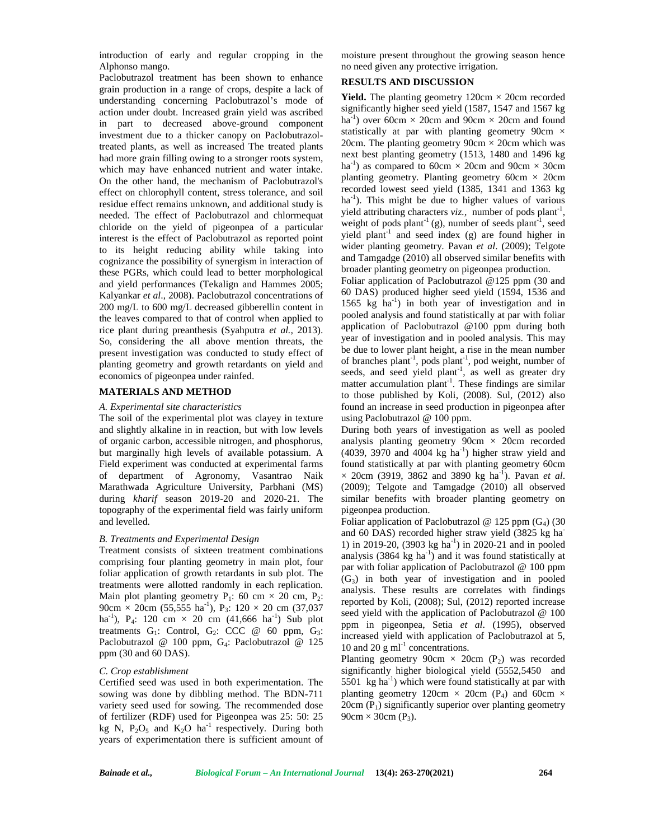introduction of early and regular cropping in the Alphonso mango.

Paclobutrazol treatment has been shown to enhance grain production in a range of crops, despite a lack of understanding concerning Paclobutrazol's mode of action under doubt. Increased grain yield was ascribed in part to decreased above-ground component investment due to a thicker canopy on Paclobutrazoltreated plants, as well as increased The treated plants had more grain filling owing to a stronger roots system, which may have enhanced nutrient and water intake. On the other hand, the mechanism of Paclobutrazol's effect on chlorophyll content, stress tolerance, and soil residue effect remains unknown, and additional study is needed. The effect of Paclobutrazol and chlormequat chloride on the yield of pigeonpea of a particular interest is the effect of Paclobutrazol as reported point to its height reducing ability while taking into cognizance the possibility of synergism in interaction of these PGRs, which could lead to better morphological and yield performances (Tekalign and Hammes 2005; Kalyankar *et al*., 2008). Paclobutrazol concentrations of 200 mg/L to 600 mg/L decreased gibberellin content in the leaves compared to that of control when applied to rice plant during preanthesis (Syahputra *et al.,* 2013). So, considering the all above mention threats, the present investigation was conducted to study effect of planting geometry and growth retardants on yield and economics of pigeonpea under rainfed.

#### **MATERIALS AND METHOD**

# *A. Experimental site characteristics*

The soil of the experimental plot was clayey in texture and slightly alkaline in in reaction, but with low levels of organic carbon, accessible nitrogen, and phosphorus, but marginally high levels of available potassium. A Field experiment was conducted at experimental farms of department of Agronomy, Vasantrao Naik Marathwada Agriculture University, Parbhani (MS) during *kharif* season 2019-20 and 2020-21. The topography of the experimental field was fairly uniform and levelled.

#### *B. Treatments and Experimental Design*

Treatment consists of sixteen treatment combinations comprising four planting geometry in main plot, four foliar application of growth retardants in sub plot. The treatments were allotted randomly in each replication. Main plot planting geometry  $P_1$ : 60 cm  $\times$  20 cm,  $P_2$ : 90cm  $\times$  20cm (55,555 ha<sup>-1</sup>), P<sub>3</sub>: 120  $\times$  20 cm (37,037 ha<sup>-1</sup>), P<sub>4</sub>: 120 cm  $\times$  20 cm (41,666 ha<sup>-1</sup>) Sub plot treatments  $G_1$ : Control,  $G_2$ : CCC @ 60 ppm,  $G_3$ : Paclobutrazol @ 100 ppm, G4: Paclobutrazol @ 125 ppm (30 and 60 DAS).

#### *C. Crop establishment*

Certified seed was used in both experimentation. The sowing was done by dibbling method. The BDN-711 variety seed used for sowing. The recommended dose of fertilizer (RDF) used for Pigeonpea was 25: 50: 25 kg N,  $P_2O_5$  and  $K_2O$  ha<sup>-1</sup> respectively. During both years of experimentation there is sufficient amount of moisture present throughout the growing season hence no need given any protective irrigation.

## **RESULTS AND DISCUSSION**

**Yield.** The planting geometry  $120 \text{cm} \times 20 \text{cm}$  recorded significantly higher seed yield (1587, 1547 and 1567 kg ha<sup>-1</sup>) over 60cm  $\times$  20cm and 90cm  $\times$  20cm and found statistically at par with planting geometry 90cm  $\times$ 20cm. The planting geometry  $90 \text{cm} \times 20 \text{cm}$  which was next best planting geometry (1513, 1480 and 1496 kg ha<sup>-1</sup>) as compared to 60cm  $\times$  20cm and 90cm  $\times$  30cm planting geometry. Planting geometry  $60 \text{cm} \times 20 \text{cm}$ recorded lowest seed yield (1385, 1341 and 1363 kg  $ha^{-1}$ ). This might be due to higher values of various yield attributing characters *viz*., number of pods plant<sup>-1</sup>, weight of pods plant<sup>-1</sup> (g), number of seeds plant<sup>-1</sup>, seed yield plant<sup>-1</sup> and seed index (g) are found higher in wider planting geometry. Pavan *et al*. (2009); Telgote and Tamgadge (2010) all observed similar benefits with broader planting geometry on pigeonpea production.

Foliar application of Paclobutrazol @125 ppm (30 and 60 DAS) produced higher seed yield (1594, 1536 and 1565 kg  $ha^{-1}$ ) in both year of investigation and in pooled analysis and found statistically at par with foliar application of Paclobutrazol @100 ppm during both year of investigation and in pooled analysis. This may be due to lower plant height, a rise in the mean number of branches plant-1 , pods plant-1 , pod weight, number of seeds, and seed yield  $plant^{-1}$ , as well as greater dry matter accumulation plant<sup>-1</sup>. These findings are similar to those published by Koli, (2008). Sul, (2012) also found an increase in seed production in pigeonpea after using Paclobutrazol @ 100 ppm.

During both years of investigation as well as pooled analysis planting geometry  $90cm \times 20cm$  recorded  $(4039, 3970 \text{ and } 4004 \text{ kg ha}^{-1})$  higher straw yield and found statistically at par with planting geometry 60cm  $\times$  20cm (3919, 3862 and 3890 kg ha<sup>-1</sup>). Pavan *et al*. (2009); Telgote and Tamgadge (2010) all observed similar benefits with broader planting geometry on pigeonpea production.

Foliar application of Paclobutrazol @ 125 ppm  $(G_4)$  (30 and 60 DAS) recorded higher straw yield (3825 kg ha- 1) in 2019-20, (3903 kg ha<sup>-1</sup>) in 2020-21 and in pooled analysis  $(3864 \text{ kg} \text{ ha}^{-1})$  and it was found statistically at par with foliar application of Paclobutrazol @ 100 ppm  $(G<sub>3</sub>)$  in both year of investigation and in pooled analysis. These results are correlates with findings reported by Koli, (2008); Sul, (2012) reported increase seed yield with the application of Paclobutrazol @ 100 ppm in pigeonpea, Setia *et al*. (1995), observed increased yield with application of Paclobutrazol at 5, 10 and 20  $\text{g}$  ml<sup>-1</sup> concentrations.

Planting geometry 90cm  $\times$  20cm (P<sub>2</sub>) was recorded significantly higher biological yield (5552,5450 and 5501 kg ha<sup>-1</sup>) which were found statistically at par with planting geometry 120cm  $\times$  20cm (P<sub>4</sub>) and 60cm  $\times$  $20cm (P<sub>1</sub>)$  significantly superior over planting geometry  $90cm \times 30cm$  (P<sub>3</sub>).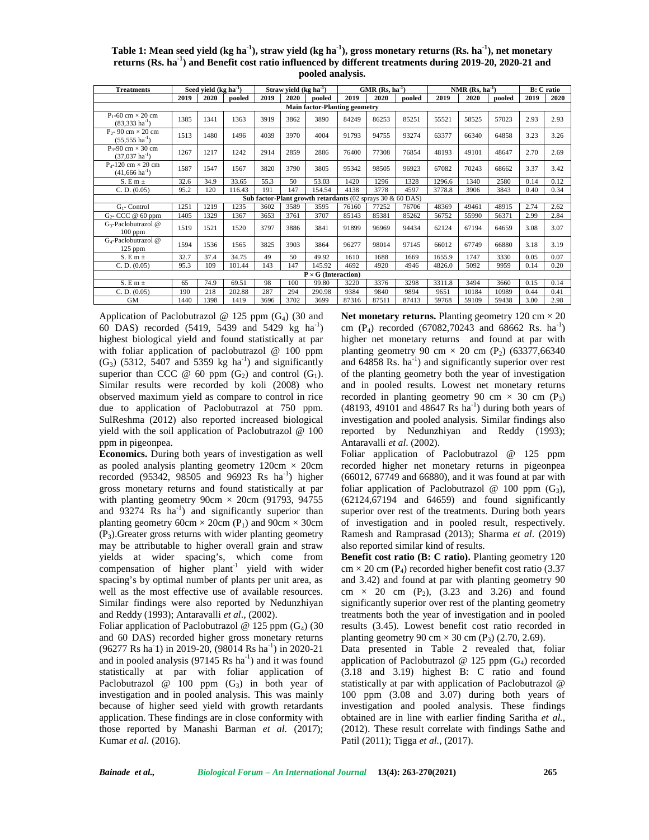| Table 1: Mean seed yield (kg ha <sup>-1</sup> ), straw yield (kg ha <sup>-1</sup> ), gross monetary returns (Rs. ha <sup>-1</sup> ), net monetary |  |
|---------------------------------------------------------------------------------------------------------------------------------------------------|--|
| returns (Rs. ha <sup>-1</sup> ) and Benefit cost ratio influenced by different treatments during 2019-20, 2020-21 and                             |  |
| pooled analysis.                                                                                                                                  |  |

| <b>Treatments</b>                                            |      | Seed yield $(kg ha-1)$ |        |      | Straw yield $(kg ha-1)$ |                                                               |       | $GMR (Rs, ha-1)$ |        |        | NMR $(Rs, ha^{-1})$ |        |      | <b>B</b> : C ratio |
|--------------------------------------------------------------|------|------------------------|--------|------|-------------------------|---------------------------------------------------------------|-------|------------------|--------|--------|---------------------|--------|------|--------------------|
|                                                              | 2019 | 2020                   | pooled | 2019 | 2020                    | pooled                                                        | 2019  | 2020             | pooled | 2019   | 2020                | pooled | 2019 | 2020               |
|                                                              |      |                        |        |      |                         | <b>Main factor-Planting geometry</b>                          |       |                  |        |        |                     |        |      |                    |
| $P_1$ -60 cm $\times$ 20 cm<br>$(83,333 \text{ ha}^{-1})$    | 1385 | 1341                   | 1363   | 3919 | 3862                    | 3890                                                          | 84249 | 86253            | 85251  | 55521  | 58525               | 57023  | 2.93 | 2.93               |
| $P_{2}$ - 90 cm $\times$ 20 cm<br>$(55,555 \text{ ha}^{-1})$ | 1513 | 1480                   | 1496   | 4039 | 3970                    | 4004                                                          | 91793 | 94755            | 93274  | 63377  | 66340               | 64858  | 3.23 | 3.26               |
| $P_{3}$ -90 cm $\times$ 30 cm<br>$(37,037 \text{ ha}^{-1})$  | 1267 | 1217                   | 1242   | 2914 | 2859                    | 2886                                                          | 76400 | 77308            | 76854  | 48193  | 49101               | 48647  | 2.70 | 2.69               |
| $P_{4}$ -120 cm $\times$ 20 cm<br>$(41,666 \text{ ha}^{-1})$ | 1587 | 1547                   | 1567   | 3820 | 3790                    | 3805                                                          | 95342 | 98505            | 96923  | 67082  | 70243               | 68662  | 3.37 | 3.42               |
| $S. E m \pm$                                                 | 32.6 | 34.9                   | 33.65  | 55.3 | 50                      | 53.03                                                         | 1420  | 1296             | 1328   | 1296.6 | 1340                | 2580   | 0.14 | 0.12               |
| C. D. (0.05)                                                 | 95.2 | 120                    | 116.43 | 191  | 147                     | 154.54                                                        | 4138  | 3778             | 4597   | 3778.8 | 3906                | 3843   | 0.40 | 0.34               |
|                                                              |      |                        |        |      |                         | Sub factor-Plant growth retardants (02 sprays 30 $\&$ 60 DAS) |       |                  |        |        |                     |        |      |                    |
| $G_1$ - Control                                              | 1251 | 1219                   | 1235   | 3602 | 3589                    | 3595                                                          | 76160 | 77252            | 76706  | 48369  | 49461               | 48915  | 2.74 | 2.62               |
| $G_2$ - CCC @ 60 ppm                                         | 1405 | 1329                   | 1367   | 3653 | 3761                    | 3707                                                          | 85143 | 85381            | 85262  | 56752  | 55990               | 56371  | 2.99 | 2.84               |
| G <sub>3</sub> -Paclobutrazol @<br>$100$ ppm                 | 1519 | 1521                   | 1520   | 3797 | 3886                    | 3841                                                          | 91899 | 96969            | 94434  | 62124  | 67194               | 64659  | 3.08 | 3.07               |
| G <sub>4</sub> -Paclobutrazol @<br>$125$ ppm                 | 1594 | 1536                   | 1565   | 3825 | 3903                    | 3864                                                          | 96277 | 98014            | 97145  | 66012  | 67749               | 66880  | 3.18 | 3.19               |
| $S. E m \pm$                                                 | 32.7 | 37.4                   | 34.75  | 49   | 50                      | 49.92                                                         | 1610  | 1688             | 1669   | 1655.9 | 1747                | 3330   | 0.05 | 0.07               |
| C. D. (0.05)                                                 | 95.3 | 109                    | 101.44 | 143  | 147                     | 145.92                                                        | 4692  | 4920             | 4946   | 4826.0 | 5092                | 9959   | 0.14 | 0.20               |
|                                                              |      |                        |        |      |                         | $P \times G$ (Interaction)                                    |       |                  |        |        |                     |        |      |                    |
| S. E m $\pm$                                                 | 65   | 74.9                   | 69.51  | 98   | 100                     | 99.80                                                         | 3220  | 3376             | 3298   | 3311.8 | 3494                | 3660   | 0.15 | 0.14               |
| C. D. (0.05)                                                 | 190  | 218                    | 202.88 | 287  | 294                     | 290.98                                                        | 9384  | 9840             | 9894   | 9651   | 10184               | 10989  | 0.44 | 0.41               |
| <b>GM</b>                                                    | 1440 | 1398                   | 1419   | 3696 | 3702                    | 3699                                                          | 87316 | 87511            | 87413  | 59768  | 59109               | 59438  | 3.00 | 2.98               |

Application of Paclobutrazol @ 125 ppm  $(G_4)$  (30 and 60 DAS) recorded  $(5419, 5439 \text{ and } 5429 \text{ kg } \text{ha}^{-1})$ highest biological yield and found statistically at par with foliar application of paclobutrazol @ 100 ppm  $(G<sub>3</sub>)$  (5312, 5407 and 5359 kg ha<sup>-1</sup>) and significantly superior than CCC  $@60$  ppm  $(G_2)$  and control  $(G_1)$ . Similar results were recorded by koli (2008) who observed maximum yield as compare to control in rice due to application of Paclobutrazol at 750 ppm. SulReshma (2012) also reported increased biological yield with the soil application of Paclobutrazol @ 100 ppm in pigeonpea.

**Economics.** During both years of investigation as well as pooled analysis planting geometry  $120 \text{cm} \times 20 \text{cm}$ recorded (95342, 98505 and 96923 Rs  $ha^{-1}$ ) higher gross monetary returns and found statistically at par with planting geometry  $90 \text{cm} \times 20 \text{cm}$  (91793, 94755) and  $93274$  Rs ha<sup>-1</sup>) and significantly superior than planting geometry 60cm  $\times$  20cm (P<sub>1</sub>) and 90cm  $\times$  30cm  $(P_3)$ . Greater gross returns with wider planting geometry may be attributable to higher overall grain and straw yields at wider spacing's, which come from compensation of higher plant<sup>-1</sup> yield with wider spacing's by optimal number of plants per unit area, as well as the most effective use of available resources. Similar findings were also reported by Nedunzhiyan and Reddy (1993); Antaravalli *et al*., (2002).

Foliar application of Paclobutrazol @ 125 ppm  $(G_4)$  (30 and 60 DAS) recorded higher gross monetary returns  $(96277 \text{ Rs ha } 1)$  in 2019-20,  $(98014 \text{ Rs ha}^{-1})$  in 2020-21 and in pooled analysis  $(97145 \text{ Rs ha}^{-1})$  and it was found statistically at par with foliar application of Paclobutrazol @ 100 ppm  $(G_3)$  in both year of investigation and in pooled analysis. This was mainly because of higher seed yield with growth retardants application. These findings are in close conformity with those reported by Manashi Barman *et al.* (2017); Kumar *et al.* (2016).

**Net monetary returns.** Planting geometry  $120 \text{ cm} \times 20$ cm  $(P_4)$  recorded (67082,70243 and 68662 Rs. ha<sup>-1</sup>) higher net monetary returns and found at par with planting geometry 90 cm  $\times$  20 cm (P<sub>2</sub>) (63377,66340 and  $64858$  Rs.  $ha^{-1}$ ) and significantly superior over rest of the planting geometry both the year of investigation and in pooled results. Lowest net monetary returns recorded in planting geometry 90 cm  $\times$  30 cm (P<sub>3</sub>)  $(48193, 49101$  and  $48647$  Rs ha<sup>-1</sup>) during both years of investigation and pooled analysis. Similar findings also reported by Nedunzhiyan and Reddy (1993); Antaravalli *et al*. (2002).

Foliar application of Paclobutrazol @ 125 ppm recorded higher net monetary returns in pigeonpea (66012, 67749 and 66880), and it was found at par with foliar application of Paclobutrazol @ 100 ppm  $(G_3)$ ,  $(62124, 67194$  and  $64659$ ) and found significantly superior over rest of the treatments. During both years of investigation and in pooled result, respectively. Ramesh and Ramprasad (2013); Sharma *et al*. (2019) also reported similar kind of results.

**Benefit cost ratio (B: C ratio).** Planting geometry 120  $cm \times 20$  cm (P<sub>4</sub>) recorded higher benefit cost ratio (3.37) and 3.42) and found at par with planting geometry 90 cm  $\times$  20 cm (P<sub>2</sub>), (3.23 and 3.26) and found significantly superior over rest of the planting geometry treatments both the year of investigation and in pooled results (3.45). Lowest benefit cost ratio recorded in planting geometry 90 cm  $\times$  30 cm (P<sub>3</sub>) (2.70, 2.69).

Data presented in Table 2 revealed that, foliar application of Paclobutrazol  $@125$  ppm  $(G<sub>4</sub>)$  recorded (3.18 and 3.19) highest B: C ratio and found statistically at par with application of Paclobutrazol @ 100 ppm (3.08 and 3.07) during both years of investigation and pooled analysis. These findings obtained are in line with earlier finding Saritha *et al.,* (2012). These result correlate with findings Sathe and Patil (2011); Tigga *et al.,* (2017).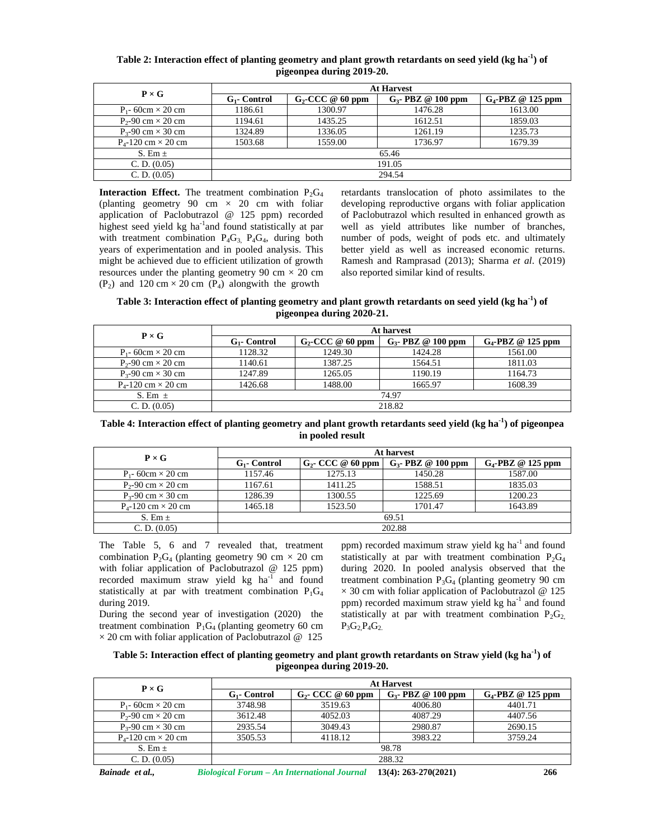## **Table 2: Interaction effect of planting geometry and plant growth retardants on seed yield (kg ha-1) of pigeonpea during 2019-20.**

| $P \times G$                   | <b>At Harvest</b> |                     |                       |                      |  |  |  |
|--------------------------------|-------------------|---------------------|-----------------------|----------------------|--|--|--|
|                                | $G_1$ - Control   | $G_2$ -CCC @ 60 ppm | $G_3$ - PBZ @ 100 ppm | $G_4$ -PBZ @ 125 ppm |  |  |  |
| $P_1$ - 60cm $\times$ 20 cm    | 1186.61           | 1300.97             | 1476.28               | 1613.00              |  |  |  |
| $P_2$ -90 cm $\times$ 20 cm    | 1194.61           | 1435.25             | 1612.51               | 1859.03              |  |  |  |
| $P_3$ -90 cm $\times$ 30 cm    | 1324.89           | 1336.05             | 1261.19               | 1235.73              |  |  |  |
| $P_{4}$ -120 cm $\times$ 20 cm | 1503.68           | 1559.00             | 1736.97               | 1679.39              |  |  |  |
| S. Em $\pm$                    |                   | 65.46               |                       |                      |  |  |  |
| C. D. (0.05)                   | 191.05            |                     |                       |                      |  |  |  |
| C. D. (0.05)                   |                   |                     | 294.54                |                      |  |  |  |

**Interaction Effect.** The treatment combination  $P_2G_4$ (planting geometry 90 cm  $\times$  20 cm with foliar application of Paclobutrazol @ 125 ppm) recorded highest seed yield kg ha<sup>-1</sup>and found statistically at par with treatment combination  $P_4G_3$ ,  $P_4G_4$ , during both years of experimentation and in pooled analysis. This might be achieved due to efficient utilization of growth resources under the planting geometry 90 cm  $\times$  20 cm  $(P_2)$  and 120 cm × 20 cm  $(P_4)$  alongwith the growth

retardants translocation of photo assimilates to the developing reproductive organs with foliar application of Paclobutrazol which resulted in enhanced growth as well as yield attributes like number of branches, number of pods, weight of pods etc. and ultimately better yield as well as increased economic returns. Ramesh and Ramprasad (2013); Sharma *et al*. (2019) also reported similar kind of results.

**Table 3: Interaction effect of planting geometry and plant growth retardants on seed yield (kg ha-1) of pigeonpea during 2020-21.**

| $P \times G$                   | At harvest      |                     |                       |                      |  |  |  |
|--------------------------------|-----------------|---------------------|-----------------------|----------------------|--|--|--|
|                                | $G_1$ - Control | $G_2$ -CCC @ 60 ppm | $G_3$ - PBZ @ 100 ppm | $G_4$ -PBZ @ 125 ppm |  |  |  |
| $P_1$ - 60cm $\times$ 20 cm    | 1128.32         | 1249.30             | 1424.28               | 1561.00              |  |  |  |
| $P_2$ -90 cm $\times$ 20 cm    | 1140.61         | 1387.25             | 1564.51               | 1811.03              |  |  |  |
| $P_3$ -90 cm $\times$ 30 cm    | 1247.89         | 1265.05             | 1190.19               | 1164.73              |  |  |  |
| $P_{4}$ -120 cm $\times$ 20 cm | 1426.68         | 1488.00             | 1665.97               | 1608.39              |  |  |  |
| S. Em $\pm$                    | 74.97           |                     |                       |                      |  |  |  |
| C. D. (0.05)                   |                 | 218.82              |                       |                      |  |  |  |

**Table 4: Interaction effect of planting geometry and plant growth retardants seed yield (kg ha-1) of pigeonpea in pooled result**

| $P \times G$                   | At harvest      |                      |                       |                      |  |  |
|--------------------------------|-----------------|----------------------|-----------------------|----------------------|--|--|
|                                | $G_1$ - Control | $G_2$ - CCC @ 60 ppm | $G_3$ - PBZ @ 100 ppm | $G_4$ -PBZ @ 125 ppm |  |  |
| $P_1$ - 60cm $\times$ 20 cm    | 1157.46         | 1275.13              | 1450.28               | 1587.00              |  |  |
| $P_2$ -90 cm $\times$ 20 cm    | 1167.61         | 1411.25              | 1588.51               | 1835.03              |  |  |
| $P_3$ -90 cm $\times$ 30 cm    | 1286.39         | 1300.55              | 1225.69               | 1200.23              |  |  |
| $P_{4}$ -120 cm $\times$ 20 cm | 1465.18         | 1523.50              | 1701.47               | 1643.89              |  |  |
| S. Em $\pm$                    | 69.51           |                      |                       |                      |  |  |
| C. D. (0.05)                   |                 |                      | 202.88                |                      |  |  |

The Table 5, 6 and 7 revealed that, treatment combination  $P_2G_4$  (planting geometry 90 cm  $\times$  20 cm with foliar application of Paclobutrazol @ 125 ppm) recorded maximum straw yield  $kg$  ha<sup>-1</sup> and found statistically at par with treatment combination  $P_1G_4$ during 2019.

During the second year of investigation (2020) the treatment combination  $P_1G_4$  (planting geometry 60 cm  $\times$  20 cm with foliar application of Paclobutrazol @ 125 ppm) recorded maximum straw yield  $kg$  ha<sup>-1</sup> and found statistically at par with treatment combination  $P_2G_4$ during 2020. In pooled analysis observed that the treatment combination  $P_3G_4$  (planting geometry 90 cm  $\times$  30 cm with foliar application of Paclobutrazol @ 125 ppm) recorded maximum straw yield  $kg$  ha<sup>-1</sup> and found statistically at par with treatment combination  $P_2G_2$  $P_3G_2P_4G_2$ 

**Table 5: Interaction effect of planting geometry and plant growth retardants on Straw yield (kg ha-1) of pigeonpea during 2019-20.**

| $P \times G$                   | <b>At Harvest</b> |                      |                       |                      |  |  |
|--------------------------------|-------------------|----------------------|-----------------------|----------------------|--|--|
|                                | $G_1$ - Control   | $G_2$ - CCC @ 60 ppm | $G_3$ - PBZ @ 100 ppm | $G_4$ -PBZ @ 125 ppm |  |  |
| $P_1$ - 60cm $\times$ 20 cm    | 3748.98           | 3519.63              | 4006.80               | 4401.71              |  |  |
| $P_2$ -90 cm $\times$ 20 cm    | 3612.48           | 4052.03              | 4087.29               | 4407.56              |  |  |
| $P_3$ -90 cm $\times$ 30 cm    | 2935.54           | 3049.43              | 2980.87               | 2690.15              |  |  |
| $P_{4}$ -120 cm $\times$ 20 cm | 3505.53           | 4118.12              | 3983.22               | 3759.24              |  |  |
| S. Em $\pm$                    | 98.78             |                      |                       |                      |  |  |
| C. D. (0.05)                   |                   |                      | 288.32                |                      |  |  |

*Bainade et al., Biological Forum – An International Journal* **13(4): 263-270(2021) 266**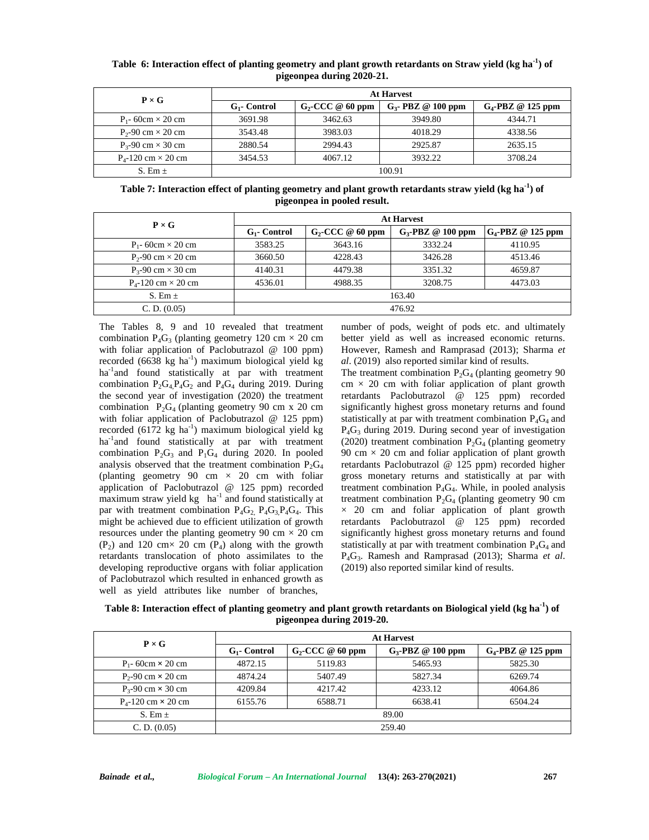| Table 6: Interaction effect of planting geometry and plant growth retardants on Straw yield (kg ha <sup>-1</sup> ) of |  |
|-----------------------------------------------------------------------------------------------------------------------|--|
| pigeonpea during 2020-21.                                                                                             |  |

| $P \times G$                   | <b>At Harvest</b> |                     |                       |                      |  |  |  |
|--------------------------------|-------------------|---------------------|-----------------------|----------------------|--|--|--|
|                                | $G_1$ - Control   | $G_2$ -CCC @ 60 ppm | $G_3$ - PBZ @ 100 ppm | $G_4$ -PBZ @ 125 ppm |  |  |  |
| $P_1$ - 60cm $\times$ 20 cm    | 3691.98           | 3462.63             | 3949.80               | 4344.71              |  |  |  |
| $P_2$ -90 cm $\times$ 20 cm    | 3543.48           | 3983.03             | 4018.29               | 4338.56              |  |  |  |
| $P_3$ -90 cm $\times$ 30 cm    | 2880.54           | 2994.43             | 2925.87               | 2635.15              |  |  |  |
| $P_{4}$ -120 cm $\times$ 20 cm | 3454.53           | 4067.12             | 3932.22               | 3708.24              |  |  |  |
| S. Em $\pm$                    |                   | 100.91              |                       |                      |  |  |  |

**Table 7: Interaction effect of planting geometry and plant growth retardants straw yield (kg ha-1) of pigeonpea in pooled result.**

| $P \times G$                   | <b>At Harvest</b> |                     |                      |                      |  |  |  |
|--------------------------------|-------------------|---------------------|----------------------|----------------------|--|--|--|
|                                | $G_1$ - Control   | $G_2$ -CCC @ 60 ppm | $G_3$ -PBZ @ 100 ppm | $G_4$ -PBZ @ 125 ppm |  |  |  |
| $P_1$ - 60cm $\times$ 20 cm    | 3583.25           | 3643.16             | 3332.24              | 4110.95              |  |  |  |
| $P_2-90$ cm $\times$ 20 cm     | 3660.50           | 4228.43             | 3426.28              | 4513.46              |  |  |  |
| $P_{3}$ -90 cm $\times$ 30 cm  | 4140.31           | 4479.38             | 3351.32              | 4659.87              |  |  |  |
| $P_{4}$ -120 cm $\times$ 20 cm | 4536.01           | 4988.35             | 3208.75              | 4473.03              |  |  |  |
| S. Em $\pm$                    | 163.40            |                     |                      |                      |  |  |  |
| C. D. (0.05)                   |                   | 476.92              |                      |                      |  |  |  |

The Tables 8, 9 and 10 revealed that treatment combination  $P_4G_3$  (planting geometry 120 cm  $\times$  20 cm with foliar application of Paclobutrazol @ 100 ppm) recorded (6638 kg ha<sup>-1</sup>) maximum biological yield kg ha<sup>-1</sup>and found statistically at par with treatment combination  $P_2G_4P_4G_2$  and  $P_4G_4$  during 2019. During the second year of investigation (2020) the treatment combination  $P_2G_4$  (planting geometry 90 cm x 20 cm with foliar application of Paclobutrazol @ 125 ppm) recorded (6172 kg ha $^{-1}$ ) maximum biological yield kg ha<sup>-1</sup>and found statistically at par with treatment combination  $P_2G_3$  and  $P_1G_4$  during 2020. In pooled analysis observed that the treatment combination  $P_2G_4$ (planting geometry 90 cm  $\times$  20 cm with foliar application of Paclobutrazol @ 125 ppm) recorded maximum straw yield kg  $ha^{-1}$  and found statistically at par with treatment combination  $P_4G_2$ ,  $P_4G_3P_4G_4$ . This might be achieved due to efficient utilization of growth resources under the planting geometry 90 cm  $\times$  20 cm  $(P_2)$  and 120 cm  $\times$  20 cm  $(P_4)$  along with the growth retardants translocation of photo assimilates to the developing reproductive organs with foliar application of Paclobutrazol which resulted in enhanced growth as well as yield attributes like number of branches,

number of pods, weight of pods etc. and ultimately better yield as well as increased economic returns. However, Ramesh and Ramprasad (2013); Sharma *et al*. (2019) also reported similar kind of results.

The treatment combination  $P_2G_4$  (planting geometry 90  $cm \times 20$  cm with foliar application of plant growth retardants Paclobutrazol @ 125 ppm) recorded significantly highest gross monetary returns and found statistically at par with treatment combination  $P_4G_4$  and  $P_4G_3$  during 2019. During second year of investigation (2020) treatment combination  $P_2G_4$  (planting geometry 90 cm  $\times$  20 cm and foliar application of plant growth retardants Paclobutrazol @ 125 ppm) recorded higher gross monetary returns and statistically at par with treatment combination  $P_4G_4$ . While, in pooled analysis treatment combination  $P_2G_4$  (planting geometry 90 cm  $\times$  20 cm and foliar application of plant growth retardants Paclobutrazol @ 125 ppm) recorded significantly highest gross monetary returns and found statistically at par with treatment combination  $P_4G_4$  and P<sub>4</sub>G<sub>3</sub>. Ramesh and Ramprasad (2013); Sharma *et al.* (2019) also reported similar kind of results.

**Table 8: Interaction effect of planting geometry and plant growth retardants on Biological yield (kg ha-1) of pigeonpea during 2019-20.**

| $P \times G$                   | <b>At Harvest</b> |                     |                      |                      |  |  |  |
|--------------------------------|-------------------|---------------------|----------------------|----------------------|--|--|--|
|                                | $G_1$ - Control   | $G_2$ -CCC @ 60 ppm | $G_3$ -PBZ @ 100 ppm | $G_4$ -PBZ @ 125 ppm |  |  |  |
| $P_1$ - 60cm $\times$ 20 cm    | 4872.15           | 5119.83             | 5465.93              | 5825.30              |  |  |  |
| $P_2$ -90 cm $\times$ 20 cm    | 4874.24           | 5407.49             | 5827.34              | 6269.74              |  |  |  |
| $P_3$ -90 cm $\times$ 30 cm    | 4209.84           | 4217.42             | 4233.12              | 4064.86              |  |  |  |
| $P_{4}$ -120 cm $\times$ 20 cm | 6155.76           | 6588.71             | 6638.41              | 6504.24              |  |  |  |
| S. Em $\pm$                    |                   | 89.00               |                      |                      |  |  |  |
| C. D. (0.05)                   |                   |                     | 259.40               |                      |  |  |  |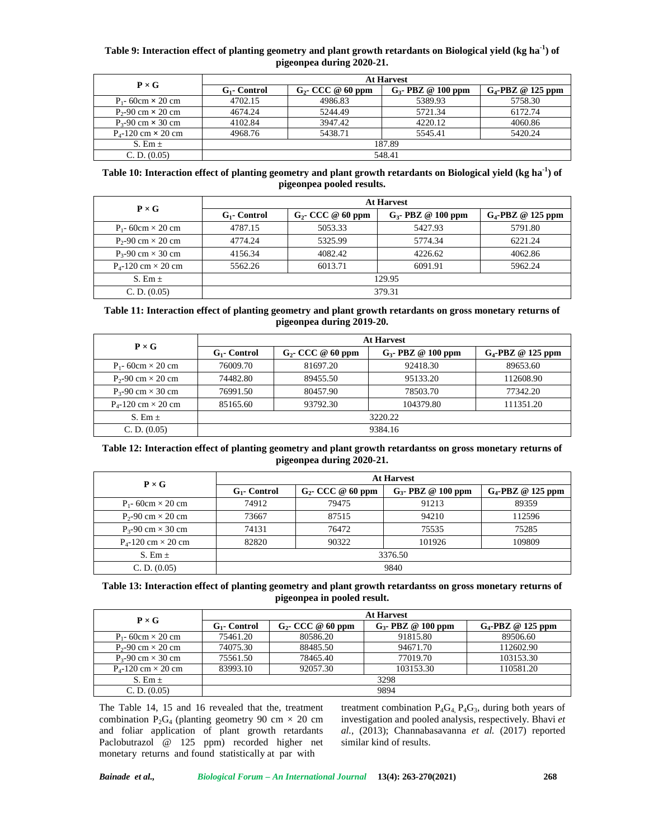# **Table 9: Interaction effect of planting geometry and plant growth retardants on Biological yield (kg ha-1) of pigeonpea during 2020-21.**

| $P \times G$                   | <b>At Harvest</b> |                      |                       |                      |  |  |
|--------------------------------|-------------------|----------------------|-----------------------|----------------------|--|--|
|                                | $G_1$ - Control   | $G_2$ - CCC @ 60 ppm | $G_3$ - PBZ @ 100 ppm | $G_4$ -PBZ @ 125 ppm |  |  |
| $P_1$ - 60cm $\times$ 20 cm    | 4702.15           | 4986.83              | 5389.93               | 5758.30              |  |  |
| $P_2$ -90 cm $\times$ 20 cm    | 4674.24           | 5244.49              | 5721.34               | 6172.74              |  |  |
| $P_3$ -90 cm $\times$ 30 cm    | 4102.84           | 3947.42              | 4220.12               | 4060.86              |  |  |
| $P_{4}$ -120 cm $\times$ 20 cm | 4968.76           | 5438.71              | 5545.41               | 5420.24              |  |  |
| S. Em $\pm$                    | 187.89            |                      |                       |                      |  |  |
| C. D. (0.05)                   |                   |                      | 548.41                |                      |  |  |

## **Table 10: Interaction effect of planting geometry and plant growth retardants on Biological yield (kg ha-1) of pigeonpea pooled results.**

| $P \times G$                   | <b>At Harvest</b> |                      |                       |                      |  |  |
|--------------------------------|-------------------|----------------------|-----------------------|----------------------|--|--|
|                                | $G_1$ - Control   | $G_2$ - CCC @ 60 ppm | $G_3$ - PBZ @ 100 ppm | $G_4$ -PBZ @ 125 ppm |  |  |
| $P_1$ - 60cm $\times$ 20 cm    | 4787.15           | 5053.33              | 5427.93               | 5791.80              |  |  |
| $P_2$ -90 cm $\times$ 20 cm    | 4774.24           | 5325.99              | 5774.34               | 6221.24              |  |  |
| $P_{3}$ -90 cm $\times$ 30 cm  | 4156.34           | 4082.42              | 4226.62               | 4062.86              |  |  |
| $P_{4}$ -120 cm $\times$ 20 cm | 5562.26           | 6013.71              | 6091.91               | 5962.24              |  |  |
| S. Em $\pm$                    | 129.95            |                      |                       |                      |  |  |
| C. D. (0.05)                   |                   |                      | 379.31                |                      |  |  |

### **Table 11: Interaction effect of planting geometry and plant growth retardants on gross monetary returns of pigeonpea during 2019-20.**

| $P \times G$                   | <b>At Harvest</b> |                      |                       |                      |  |
|--------------------------------|-------------------|----------------------|-----------------------|----------------------|--|
|                                | $G_1$ - Control   | $G_2$ - CCC @ 60 ppm | $G_3$ - PBZ @ 100 ppm | $G_4$ -PBZ @ 125 ppm |  |
| $P_1$ - 60cm $\times$ 20 cm    | 76009.70          | 81697.20             | 92418.30              | 89653.60             |  |
| $P_2 - 90$ cm $\times$ 20 cm   | 74482.80          | 89455.50             | 95133.20              | 112608.90            |  |
| $P_3$ -90 cm $\times$ 30 cm    | 76991.50          | 80457.90             | 78503.70              | 77342.20             |  |
| $P_{4}$ -120 cm $\times$ 20 cm | 85165.60          | 93792.30             | 104379.80             | 111351.20            |  |
| S. Em $\pm$                    | 3220.22           |                      |                       |                      |  |
| C. D. (0.05)                   | 9384.16           |                      |                       |                      |  |

## **Table 12: Interaction effect of planting geometry and plant growth retardantss on gross monetary returns of pigeonpea during 2020-21.**

| $P \times G$                   | <b>At Harvest</b> |                      |                       |                      |
|--------------------------------|-------------------|----------------------|-----------------------|----------------------|
|                                | $G_1$ - Control   | $G_2$ - CCC @ 60 ppm | $G_3$ - PBZ @ 100 ppm | $G_4$ -PBZ @ 125 ppm |
| $P_1$ - 60cm $\times$ 20 cm    | 74912             | 79475                | 91213                 | 89359                |
| $P_2$ -90 cm $\times$ 20 cm    | 73667             | 87515                | 94210                 | 112596               |
| $P_3$ -90 cm $\times$ 30 cm    | 74131             | 76472                | 75535                 | 75285                |
| $P_{4}$ -120 cm $\times$ 20 cm | 82820             | 90322                | 101926                | 109809               |
| S. Em $\pm$                    | 3376.50           |                      |                       |                      |
| C. D. (0.05)                   | 9840              |                      |                       |                      |

# **Table 13: Interaction effect of planting geometry and plant growth retardantss on gross monetary returns of pigeonpea in pooled result.**

| $P \times G$                   | <b>At Harvest</b> |                      |                       |                      |  |
|--------------------------------|-------------------|----------------------|-----------------------|----------------------|--|
|                                | $G_1$ - Control   | $G_2$ - CCC @ 60 ppm | $G_3$ - PBZ @ 100 ppm | $G_4$ -PBZ @ 125 ppm |  |
| $P_1$ - 60cm $\times$ 20 cm    | 75461.20          | 80586.20             | 91815.80              | 89506.60             |  |
| $P_2$ -90 cm $\times$ 20 cm    | 74075.30          | 88485.50             | 94671.70              | 112602.90            |  |
| $P_3$ -90 cm $\times$ 30 cm    | 75561.50          | 78465.40             | 77019.70              | 103153.30            |  |
| $P_{4}$ -120 cm $\times$ 20 cm | 83993.10          | 92057.30             | 103153.30             | 110581.20            |  |
| S. Em $\pm$                    | 3298              |                      |                       |                      |  |
| C. D. (0.05)                   | 9894              |                      |                       |                      |  |

The Table 14, 15 and 16 revealed that the, treatment combination  $P_2G_4$  (planting geometry 90 cm  $\times$  20 cm and foliar application of plant growth retardants Paclobutrazol @ 125 ppm) recorded higher net monetary returns and found statistically at par with

treatment combination  $P_4G_4$ ,  $P_4G_3$ , during both years of investigation and pooled analysis, respectively. Bhavi *et al.,* (2013); Channabasavanna *et al.* (2017) reported similar kind of results.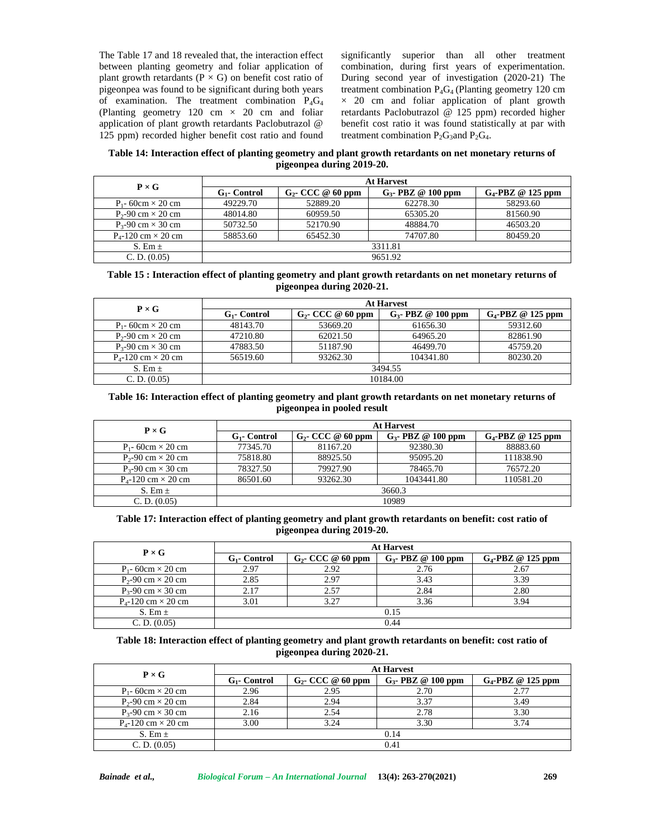The Table 17 and 18 revealed that, the interaction effect between planting geometry and foliar application of plant growth retardants ( $P \times G$ ) on benefit cost ratio of pigeonpea was found to be significant during both years of examination. The treatment combination  $P_4G_4$ (Planting geometry 120 cm  $\times$  20 cm and foliar application of plant growth retardants Paclobutrazol @ 125 ppm) recorded higher benefit cost ratio and found significantly superior than all other treatment combination, during first years of experimentation. During second year of investigation (2020-21) The treatment combination  $P_4G_4$  (Planting geometry 120 cm  $\times$  20 cm and foliar application of plant growth retardants Paclobutrazol @ 125 ppm) recorded higher benefit cost ratio it was found statistically at par with treatment combination  $P_2G_3$ and  $P_2G_4$ .

**Table 14: Interaction effect of planting geometry and plant growth retardants on net monetary returns of pigeonpea during 2019-20.**

| $P \times G$                   | <b>At Harvest</b> |                      |                       |                      |  |
|--------------------------------|-------------------|----------------------|-----------------------|----------------------|--|
|                                | $G_1$ - Control   | $G_2$ - CCC @ 60 ppm | $G_3$ - PBZ @ 100 ppm | $G_4$ -PBZ @ 125 ppm |  |
| $P_1$ - 60cm $\times$ 20 cm    | 49229.70          | 52889.20             | 62278.30              | 58293.60             |  |
| $P_2$ -90 cm $\times$ 20 cm    | 48014.80          | 60959.50             | 65305.20              | 81560.90             |  |
| $P_3$ -90 cm $\times$ 30 cm    | 50732.50          | 52170.90             | 48884.70              | 46503.20             |  |
| $P_{4}$ -120 cm $\times$ 20 cm | 58853.60          | 65452.30             | 74707.80              | 80459.20             |  |
| S. Em $\pm$                    | 3311.81           |                      |                       |                      |  |
| C. D. (0.05)                   | 9651.92           |                      |                       |                      |  |

### **Table 15 : Interaction effect of planting geometry and plant growth retardants on net monetary returns of pigeonpea during 2020-21.**

| $P \times G$                   | <b>At Harvest</b> |                      |                       |                      |
|--------------------------------|-------------------|----------------------|-----------------------|----------------------|
|                                | $G_1$ - Control   | $G_2$ - CCC @ 60 ppm | $G_3$ - PBZ @ 100 ppm | $G_4$ -PBZ @ 125 ppm |
| $P_1$ - 60cm $\times$ 20 cm    | 48143.70          | 53669.20             | 61656.30              | 59312.60             |
| $P_2$ -90 cm $\times$ 20 cm    | 47210.80          | 62021.50             | 64965.20              | 82861.90             |
| $P_3 - 90$ cm $\times$ 30 cm   | 47883.50          | 51187.90             | 46499.70              | 45759.20             |
| $P_{4}$ -120 cm $\times$ 20 cm | 56519.60          | 93262.30             | 104341.80             | 80230.20             |
| S. Em $\pm$                    | 3494.55           |                      |                       |                      |
| C. D. (0.05)                   | 10184.00          |                      |                       |                      |

### **Table 16: Interaction effect of planting geometry and plant growth retardants on net monetary returns of pigeonpea in pooled result**

| $P \times G$                   | <b>At Harvest</b> |                      |                       |                      |
|--------------------------------|-------------------|----------------------|-----------------------|----------------------|
|                                | $G_1$ - Control   | $G_2$ - CCC @ 60 ppm | $G_3$ - PBZ @ 100 ppm | $G_4$ -PBZ @ 125 ppm |
| $P_1$ - 60cm $\times$ 20 cm    | 77345.70          | 81167.20             | 92380.30              | 88883.60             |
| $P_2$ -90 cm $\times$ 20 cm    | 75818.80          | 88925.50             | 95095.20              | 111838.90            |
| $P_3$ -90 cm $\times$ 30 cm    | 78327.50          | 79927.90             | 78465.70              | 76572.20             |
| $P_{4}$ -120 cm $\times$ 20 cm | 86501.60          | 93262.30             | 1043441.80            | 110581.20            |
| S. Em $\pm$                    | 3660.3            |                      |                       |                      |
| C. D. (0.05)                   | 10989             |                      |                       |                      |

## **Table 17: Interaction effect of planting geometry and plant growth retardants on benefit: cost ratio of pigeonpea during 2019-20.**

| $P \times G$                   | <b>At Harvest</b> |                      |                       |                      |
|--------------------------------|-------------------|----------------------|-----------------------|----------------------|
|                                | $G_1$ - Control   | $G_2$ - CCC @ 60 ppm | $G_3$ - PBZ @ 100 ppm | $G_4$ -PBZ @ 125 ppm |
| $P_1$ - 60cm $\times$ 20 cm    | 2.97              | 2.92                 | 2.76                  | 2.67                 |
| $P_2$ -90 cm $\times$ 20 cm    | 2.85              | 2.97                 | 3.43                  | 3.39                 |
| $P_3$ -90 cm $\times$ 30 cm    | 2.17              | 2.57                 | 2.84                  | 2.80                 |
| $P_{4}$ -120 cm $\times$ 20 cm | 3.01              | 3.27                 | 3.36                  | 3.94                 |
| S. Em $\pm$                    | 0.15              |                      |                       |                      |
| C. D. (0.05)                   | 0.44              |                      |                       |                      |

## **Table 18: Interaction effect of planting geometry and plant growth retardants on benefit: cost ratio of pigeonpea during 2020-21.**

| $P \times G$                   | <b>At Harvest</b> |                      |                       |                      |
|--------------------------------|-------------------|----------------------|-----------------------|----------------------|
|                                | $G_1$ - Control   | $G_2$ - CCC @ 60 ppm | $G_3$ - PBZ @ 100 ppm | $G_4$ -PBZ @ 125 ppm |
| $P_1$ - 60cm $\times$ 20 cm    | 2.96              | 2.95                 | 2.70                  |                      |
| $P_2$ -90 cm $\times$ 20 cm    | 2.84              | 2.94                 | 3.37                  | 3.49                 |
| $P_{3}$ -90 cm $\times$ 30 cm  | 2.16              | 2.54                 | 2.78                  | 3.30                 |
| $P_{4}$ -120 cm $\times$ 20 cm | 3.00              | 3.24                 | 3.30                  | 3.74                 |
| S. Em $\pm$                    | 0.14              |                      |                       |                      |
| C. D. (0.05)                   | 0.41              |                      |                       |                      |